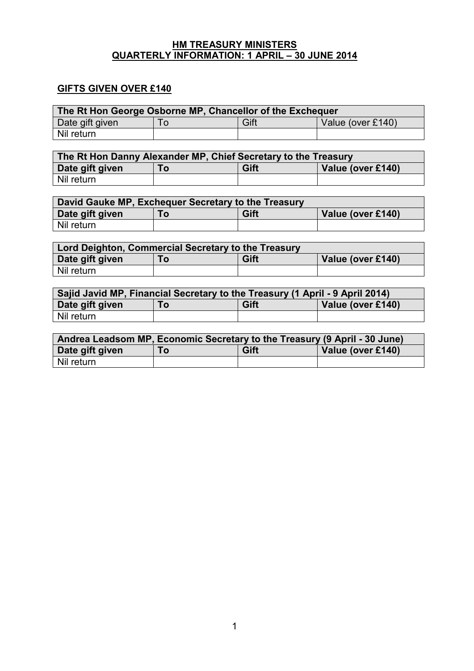#### **HM TREASURY MINISTERS QUARTERLY INFORMATION: 1 APRIL – 30 JUNE 2014**

# **GIFTS GIVEN OVER £140**

| The Rt Hon George Osborne MP, Chancellor of the Exchequer |     |      |                   |  |
|-----------------------------------------------------------|-----|------|-------------------|--|
| Date gift given                                           | l O | Gift | Value (over £140) |  |
| Nil return                                                |     |      |                   |  |

| The Rt Hon Danny Alexander MP, Chief Secretary to the Treasury |  |  |  |  |
|----------------------------------------------------------------|--|--|--|--|
| Gift<br>Date gift given<br>Value (over £140)<br>l O            |  |  |  |  |
| Nil return                                                     |  |  |  |  |

| David Gauke MP, Exchequer Secretary to the Treasury |  |  |  |  |
|-----------------------------------------------------|--|--|--|--|
| Gift<br>Date gift given<br>Value (over £140)<br>Τо  |  |  |  |  |
| Nil return                                          |  |  |  |  |

| Lord Deighton, Commercial Secretary to the Treasury |  |  |  |  |
|-----------------------------------------------------|--|--|--|--|
| Gift<br>Date gift given<br>Value (over £140)<br>Го  |  |  |  |  |
| Nil return                                          |  |  |  |  |

| Sajid Javid MP, Financial Secretary to the Treasury (1 April - 9 April 2014) |  |  |  |  |
|------------------------------------------------------------------------------|--|--|--|--|
| Gift<br>Date gift given<br>Value (over £140)<br>Τo                           |  |  |  |  |
| l Nil return                                                                 |  |  |  |  |

| Andrea Leadsom MP, Economic Secretary to the Treasury (9 April - 30 June) |    |      |                   |
|---------------------------------------------------------------------------|----|------|-------------------|
| Date gift given                                                           | Го | Gift | Value (over £140) |
| l Nil return.                                                             |    |      |                   |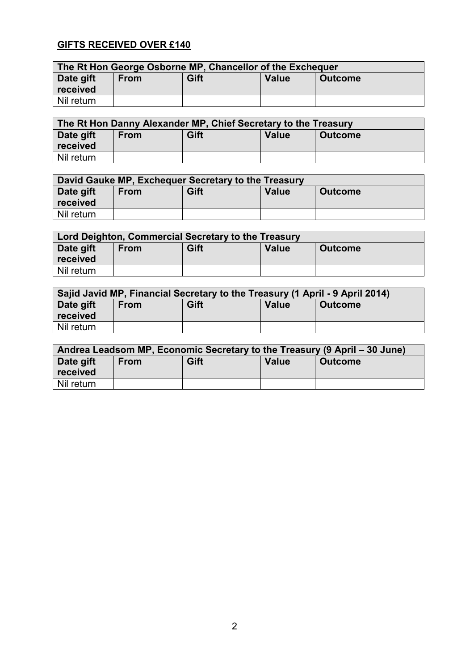# **GIFTS RECEIVED OVER £140**

| The Rt Hon George Osborne MP, Chancellor of the Exchequer |                                  |  |  |  |  |
|-----------------------------------------------------------|----------------------------------|--|--|--|--|
| Date gift<br>received                                     | Gift<br>Value<br>Outcome<br>From |  |  |  |  |
| Nil return                                                |                                  |  |  |  |  |

| The Rt Hon Danny Alexander MP, Chief Secretary to the Treasury |                                                       |  |  |  |  |
|----------------------------------------------------------------|-------------------------------------------------------|--|--|--|--|
| Date gift                                                      | Gift<br><b>Value</b><br><b>From</b><br><b>Outcome</b> |  |  |  |  |
| received                                                       |                                                       |  |  |  |  |
| Nil return                                                     |                                                       |  |  |  |  |

| David Gauke MP, Exchequer Secretary to the Treasury |             |      |       |                |  |
|-----------------------------------------------------|-------------|------|-------|----------------|--|
| Date gift<br>received                               | <b>From</b> | Gift | Value | <b>Outcome</b> |  |
| Nil return                                          |             |      |       |                |  |

| Lord Deighton, Commercial Secretary to the Treasury |                                                |  |  |  |  |
|-----------------------------------------------------|------------------------------------------------|--|--|--|--|
| Date gift                                           | Gift<br>Value<br><b>From</b><br><b>Outcome</b> |  |  |  |  |
| received                                            |                                                |  |  |  |  |
| Nil return                                          |                                                |  |  |  |  |

| Sajid Javid MP, Financial Secretary to the Treasury (1 April - 9 April 2014) |             |      |       |                |
|------------------------------------------------------------------------------|-------------|------|-------|----------------|
| Date gift<br>received                                                        | <b>From</b> | Gift | Value | <b>Outcome</b> |
| Nil return                                                                   |             |      |       |                |

| Andrea Leadsom MP, Economic Secretary to the Treasury (9 April – 30 June) |             |      |       |                |
|---------------------------------------------------------------------------|-------------|------|-------|----------------|
| Date gift<br>received                                                     | <b>From</b> | Gift | Value | <b>Outcome</b> |
| Nil return                                                                |             |      |       |                |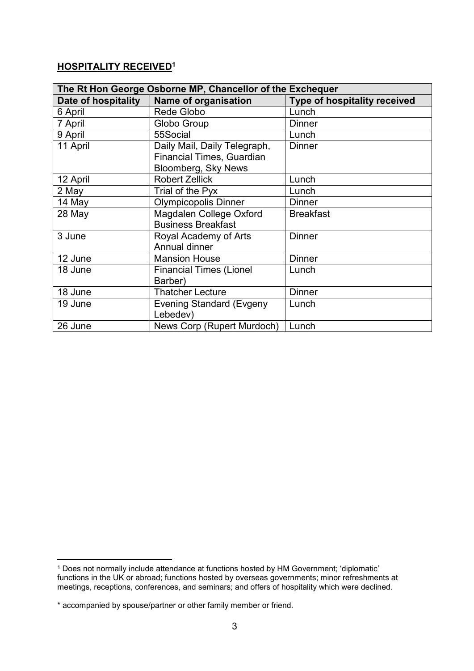#### **HOSPITALITY RECEIVED<sup>1</sup>**

| The Rt Hon George Osborne MP, Chancellor of the Exchequer |                                  |                              |  |  |  |
|-----------------------------------------------------------|----------------------------------|------------------------------|--|--|--|
| Date of hospitality                                       | Name of organisation             | Type of hospitality received |  |  |  |
| 6 April                                                   | Rede Globo                       | Lunch                        |  |  |  |
| 7 April                                                   | Globo Group                      | <b>Dinner</b>                |  |  |  |
| 9 April                                                   | 55Social                         | Lunch                        |  |  |  |
| 11 April                                                  | Daily Mail, Daily Telegraph,     | <b>Dinner</b>                |  |  |  |
|                                                           | <b>Financial Times, Guardian</b> |                              |  |  |  |
|                                                           | Bloomberg, Sky News              |                              |  |  |  |
| 12 April                                                  | <b>Robert Zellick</b>            | Lunch                        |  |  |  |
| 2 May                                                     | Trial of the Pyx                 | Lunch                        |  |  |  |
| 14 May                                                    | <b>Olympicopolis Dinner</b>      | <b>Dinner</b>                |  |  |  |
| 28 May                                                    | Magdalen College Oxford          | <b>Breakfast</b>             |  |  |  |
|                                                           | <b>Business Breakfast</b>        |                              |  |  |  |
| 3 June                                                    | Royal Academy of Arts            | <b>Dinner</b>                |  |  |  |
|                                                           | Annual dinner                    |                              |  |  |  |
| 12 June                                                   | <b>Mansion House</b>             | <b>Dinner</b>                |  |  |  |
| 18 June                                                   | <b>Financial Times (Lionel</b>   | Lunch                        |  |  |  |
|                                                           | Barber)                          |                              |  |  |  |
| 18 June                                                   | <b>Thatcher Lecture</b>          | <b>Dinner</b>                |  |  |  |
| 19 June                                                   | <b>Evening Standard (Evgeny</b>  | Lunch                        |  |  |  |
|                                                           | Lebedev)                         |                              |  |  |  |
| 26 June                                                   | News Corp (Rupert Murdoch)       | Lunch                        |  |  |  |

1

<sup>1</sup> Does not normally include attendance at functions hosted by HM Government; 'diplomatic' functions in the UK or abroad; functions hosted by overseas governments; minor refreshments at meetings, receptions, conferences, and seminars; and offers of hospitality which were declined.

<sup>\*</sup> accompanied by spouse/partner or other family member or friend.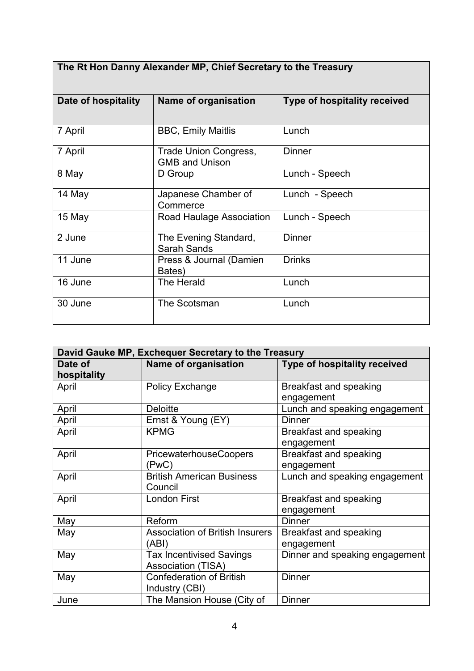| The Rt Hon Danny Alexander MP, Chief Secretary to the Treasury |                                                |                              |  |  |  |
|----------------------------------------------------------------|------------------------------------------------|------------------------------|--|--|--|
| Date of hospitality                                            | Name of organisation                           | Type of hospitality received |  |  |  |
| 7 April                                                        | <b>BBC, Emily Maitlis</b>                      | Lunch                        |  |  |  |
| 7 April                                                        | Trade Union Congress,<br><b>GMB and Unison</b> | <b>Dinner</b>                |  |  |  |
| 8 May                                                          | D Group                                        | Lunch - Speech               |  |  |  |
| 14 May                                                         | Japanese Chamber of<br>Commerce                | Lunch - Speech               |  |  |  |
| 15 May                                                         | Road Haulage Association                       | Lunch - Speech               |  |  |  |
| 2 June                                                         | The Evening Standard,<br><b>Sarah Sands</b>    | <b>Dinner</b>                |  |  |  |
| 11 June                                                        | Press & Journal (Damien<br>Bates)              | <b>Drinks</b>                |  |  |  |
| 16 June                                                        | The Herald                                     | Lunch                        |  |  |  |
| 30 June                                                        | The Scotsman                                   | Lunch                        |  |  |  |

┑

| David Gauke MP, Exchequer Secretary to the Treasury |                                                              |                                      |  |  |  |
|-----------------------------------------------------|--------------------------------------------------------------|--------------------------------------|--|--|--|
| Date of<br>hospitality                              | <b>Name of organisation</b>                                  | Type of hospitality received         |  |  |  |
| April                                               | Policy Exchange                                              | Breakfast and speaking<br>engagement |  |  |  |
| April                                               | <b>Deloitte</b>                                              | Lunch and speaking engagement        |  |  |  |
| April                                               | Ernst & Young (EY)                                           | <b>Dinner</b>                        |  |  |  |
| April                                               | <b>KPMG</b>                                                  | Breakfast and speaking<br>engagement |  |  |  |
| April                                               | <b>PricewaterhouseCoopers</b><br>(PwC)                       | Breakfast and speaking<br>engagement |  |  |  |
| April                                               | <b>British American Business</b><br>Council                  | Lunch and speaking engagement        |  |  |  |
| April                                               | <b>London First</b>                                          | Breakfast and speaking<br>engagement |  |  |  |
| May                                                 | Reform                                                       | <b>Dinner</b>                        |  |  |  |
| May                                                 | <b>Association of British Insurers</b><br>(ABI)              | Breakfast and speaking<br>engagement |  |  |  |
| May                                                 | <b>Tax Incentivised Savings</b><br><b>Association (TISA)</b> | Dinner and speaking engagement       |  |  |  |
| May                                                 | <b>Confederation of British</b><br>Industry (CBI)            | <b>Dinner</b>                        |  |  |  |
| June                                                | The Mansion House (City of                                   | <b>Dinner</b>                        |  |  |  |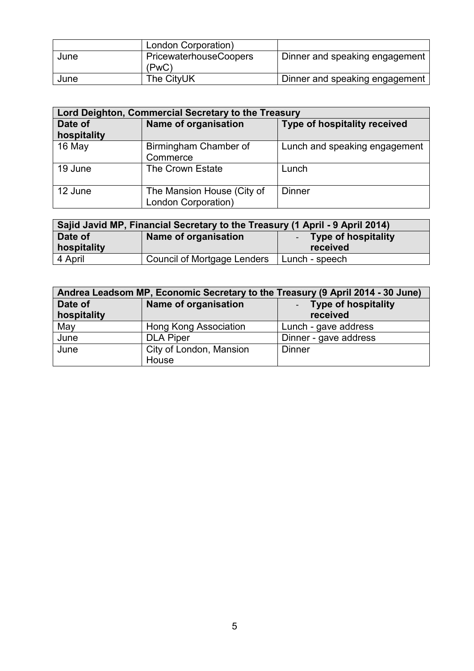|      | London Corporation)                    |                                |
|------|----------------------------------------|--------------------------------|
| June | <b>PricewaterhouseCoopers</b><br>(PwC) | Dinner and speaking engagement |
| June | The CityUK                             | Dinner and speaking engagement |

| Lord Deighton, Commercial Secretary to the Treasury |                                                   |                                     |  |  |  |
|-----------------------------------------------------|---------------------------------------------------|-------------------------------------|--|--|--|
| Date of<br>hospitality                              | Name of organisation                              | <b>Type of hospitality received</b> |  |  |  |
| 16 May                                              | Birmingham Chamber of<br>Commerce                 | Lunch and speaking engagement       |  |  |  |
| 19 June                                             | The Crown Estate                                  | Lunch                               |  |  |  |
| 12 June                                             | The Mansion House (City of<br>London Corporation) | <b>Dinner</b>                       |  |  |  |

| Sajid Javid MP, Financial Secretary to the Treasury (1 April - 9 April 2014) |                                               |                |  |  |  |  |
|------------------------------------------------------------------------------|-----------------------------------------------|----------------|--|--|--|--|
| Date of                                                                      | Name of organisation<br>- Type of hospitality |                |  |  |  |  |
| hospitality                                                                  | received                                      |                |  |  |  |  |
| 4 April                                                                      | <b>Council of Mortgage Lenders</b>            | Lunch - speech |  |  |  |  |

| Andrea Leadsom MP, Economic Secretary to the Treasury (9 April 2014 - 30 June) |                             |                            |  |  |
|--------------------------------------------------------------------------------|-----------------------------|----------------------------|--|--|
| Date of                                                                        | <b>Name of organisation</b> | <b>Type of hospitality</b> |  |  |
| hospitality                                                                    |                             | received                   |  |  |
| May                                                                            | Hong Kong Association       | Lunch - gave address       |  |  |
| June                                                                           | <b>DLA Piper</b>            | Dinner - gave address      |  |  |
| June                                                                           | City of London, Mansion     | <b>Dinner</b>              |  |  |
|                                                                                | House                       |                            |  |  |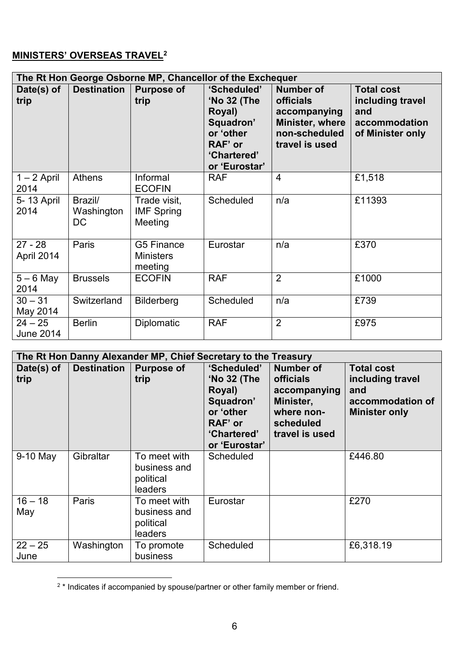# **MINISTERS' OVERSEAS TRAVEL<sup>2</sup>**

| The Rt Hon George Osborne MP, Chancellor of the Exchequer |                              |                                              |                                                                                                           |                                                                                                            |                                                                                   |
|-----------------------------------------------------------|------------------------------|----------------------------------------------|-----------------------------------------------------------------------------------------------------------|------------------------------------------------------------------------------------------------------------|-----------------------------------------------------------------------------------|
| Date(s) of<br>trip                                        | <b>Destination</b>           | <b>Purpose of</b><br>trip                    | 'Scheduled'<br>'No 32 (The<br>Royal)<br>Squadron'<br>or 'other<br>RAF' or<br>'Chartered'<br>or 'Eurostar' | <b>Number of</b><br><b>officials</b><br>accompanying<br>Minister, where<br>non-scheduled<br>travel is used | <b>Total cost</b><br>including travel<br>and<br>accommodation<br>of Minister only |
| $1 - 2$ April<br>2014                                     | <b>Athens</b>                | Informal<br><b>ECOFIN</b>                    | <b>RAF</b>                                                                                                | $\overline{4}$                                                                                             | £1,518                                                                            |
| 5-13 April<br>2014                                        | Brazil/<br>Washington<br>DC. | Trade visit,<br><b>IMF Spring</b><br>Meeting | Scheduled                                                                                                 | n/a                                                                                                        | £11393                                                                            |
| $27 - 28$<br>April 2014                                   | Paris                        | G5 Finance<br><b>Ministers</b><br>meeting    | Eurostar                                                                                                  | n/a                                                                                                        | £370                                                                              |
| $5 - 6$ May<br>2014                                       | <b>Brussels</b>              | <b>ECOFIN</b>                                | <b>RAF</b>                                                                                                | $\overline{2}$                                                                                             | £1000                                                                             |
| $30 - 31$<br>May 2014                                     | Switzerland                  | Bilderberg                                   | Scheduled                                                                                                 | n/a                                                                                                        | £739                                                                              |
| $24 - 25$<br><b>June 2014</b>                             | <b>Berlin</b>                | <b>Diplomatic</b>                            | <b>RAF</b>                                                                                                | $\overline{2}$                                                                                             | £975                                                                              |

| The Rt Hon Danny Alexander MP, Chief Secretary to the Treasury |                    |                                                      |                                                                                                           |                                                                                                                |                                                                                          |
|----------------------------------------------------------------|--------------------|------------------------------------------------------|-----------------------------------------------------------------------------------------------------------|----------------------------------------------------------------------------------------------------------------|------------------------------------------------------------------------------------------|
| Date(s) of<br>trip                                             | <b>Destination</b> | <b>Purpose of</b><br>trip                            | 'Scheduled'<br>'No 32 (The<br>Royal)<br>Squadron'<br>or 'other<br>RAF' or<br>'Chartered'<br>or 'Eurostar' | <b>Number of</b><br><b>officials</b><br>accompanying<br>Minister,<br>where non-<br>scheduled<br>travel is used | <b>Total cost</b><br>including travel<br>and<br>accommodation of<br><b>Minister only</b> |
| 9-10 May                                                       | Gibraltar          | To meet with<br>business and<br>political<br>leaders | Scheduled                                                                                                 |                                                                                                                | £446.80                                                                                  |
| $16 - 18$<br>May                                               | Paris              | To meet with<br>business and<br>political<br>leaders | Eurostar                                                                                                  |                                                                                                                | £270                                                                                     |
| $22 - 25$<br>June                                              | Washington         | To promote<br>business                               | Scheduled                                                                                                 |                                                                                                                | £6,318.19                                                                                |

 2 \* Indicates if accompanied by spouse/partner or other family member or friend.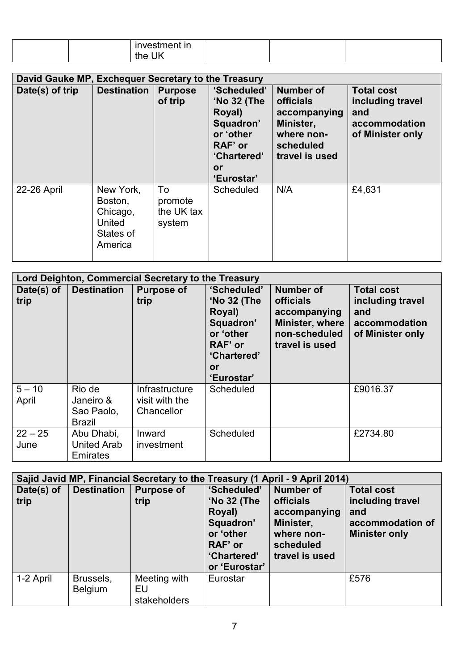|  | <br>- - -<br>Ш<br>$\mathbf{v}$ |  |  |
|--|--------------------------------|--|--|
|  | $\sim$<br>ш<br><u>'</u> າ∩≏ .  |  |  |

| David Gauke MP, Exchequer Secretary to the Treasury |                                                                           |                                       |                                                                                                                     |                                                                                                         |                                                                                   |
|-----------------------------------------------------|---------------------------------------------------------------------------|---------------------------------------|---------------------------------------------------------------------------------------------------------------------|---------------------------------------------------------------------------------------------------------|-----------------------------------------------------------------------------------|
| Date(s) of trip                                     | <b>Destination</b>                                                        | <b>Purpose</b><br>of trip             | 'Scheduled'<br>'No 32 (The<br>Royal)<br>Squadron'<br>or 'other<br>RAF' or<br>'Chartered'<br><b>or</b><br>'Eurostar' | Number of<br><b>officials</b><br>accompanying<br>Minister,<br>where non-<br>scheduled<br>travel is used | <b>Total cost</b><br>including travel<br>and<br>accommodation<br>of Minister only |
| 22-26 April                                         | New York,<br>Boston,<br>Chicago,<br><b>United</b><br>States of<br>America | To<br>promote<br>the UK tax<br>system | <b>Scheduled</b>                                                                                                    | N/A                                                                                                     | £4,631                                                                            |

| Lord Deighton, Commercial Secretary to the Treasury |                                                    |                                                |                                                                                                              |                                                                                                     |                                                                                   |  |
|-----------------------------------------------------|----------------------------------------------------|------------------------------------------------|--------------------------------------------------------------------------------------------------------------|-----------------------------------------------------------------------------------------------------|-----------------------------------------------------------------------------------|--|
| Date(s) of<br>trip                                  | <b>Destination</b>                                 | <b>Purpose of</b><br>trip                      | 'Scheduled'<br>'No 32 (The<br>Royal)<br>Squadron'<br>or 'other<br>RAF' or<br>'Chartered'<br>0r<br>'Eurostar' | Number of<br><b>officials</b><br>accompanying<br>Minister, where<br>non-scheduled<br>travel is used | <b>Total cost</b><br>including travel<br>and<br>accommodation<br>of Minister only |  |
| $5 - 10$<br>April                                   | Rio de<br>Janeiro &<br>Sao Paolo,<br><b>Brazil</b> | Infrastructure<br>visit with the<br>Chancellor | Scheduled                                                                                                    |                                                                                                     | £9016.37                                                                          |  |
| $22 - 25$<br>June                                   | Abu Dhabi,<br><b>United Arab</b><br>Emirates       | Inward<br>investment                           | Scheduled                                                                                                    |                                                                                                     | £2734.80                                                                          |  |

|                    | Sajid Javid MP, Financial Secretary to the Treasury (1 April - 9 April 2014) |                                    |                                                                                                           |                                                                                                                |                                                                                          |
|--------------------|------------------------------------------------------------------------------|------------------------------------|-----------------------------------------------------------------------------------------------------------|----------------------------------------------------------------------------------------------------------------|------------------------------------------------------------------------------------------|
| Date(s) of<br>trip | <b>Destination</b>                                                           | <b>Purpose of</b><br>trip          | 'Scheduled'<br>'No 32 (The<br>Royal)<br>Squadron'<br>or 'other<br>RAF' or<br>'Chartered'<br>or 'Eurostar' | <b>Number of</b><br><b>officials</b><br>accompanying<br>Minister,<br>where non-<br>scheduled<br>travel is used | <b>Total cost</b><br>including travel<br>and<br>accommodation of<br><b>Minister only</b> |
| 1-2 April          | Brussels,<br><b>Belgium</b>                                                  | Meeting with<br>EU<br>stakeholders | Eurostar                                                                                                  |                                                                                                                | £576                                                                                     |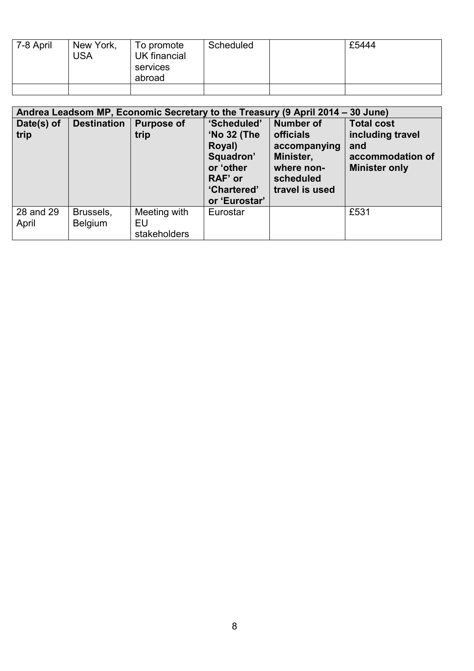| 7-8 April | New York,<br><b>USA</b> | To promote<br>UK financial<br>services<br>abroad | Scheduled | £5444 |
|-----------|-------------------------|--------------------------------------------------|-----------|-------|
|           |                         |                                                  |           |       |

|                    | Andrea Leadsom MP, Economic Secretary to the Treasury (9 April 2014 – 30 June) |                                    |                                                                                                                  |                                                                                                                |                                                                                          |
|--------------------|--------------------------------------------------------------------------------|------------------------------------|------------------------------------------------------------------------------------------------------------------|----------------------------------------------------------------------------------------------------------------|------------------------------------------------------------------------------------------|
| Date(s) of<br>trip | <b>Destination</b>                                                             | <b>Purpose of</b><br>trip          | 'Scheduled'<br><b>'No 32 (The</b><br>Royal)<br>Squadron'<br>or 'other<br>RAF' or<br>'Chartered'<br>or 'Eurostar' | <b>Number of</b><br><b>officials</b><br>accompanying<br>Minister,<br>where non-<br>scheduled<br>travel is used | <b>Total cost</b><br>including travel<br>and<br>accommodation of<br><b>Minister only</b> |
| 28 and 29<br>April | Brussels,<br><b>Belgium</b>                                                    | Meeting with<br>EU<br>stakeholders | Eurostar                                                                                                         |                                                                                                                | £531                                                                                     |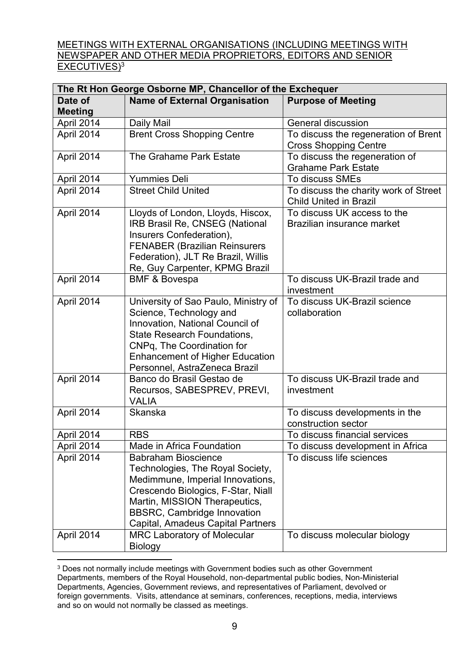MEETINGS WITH EXTERNAL ORGANISATIONS (INCLUDING MEETINGS WITH NEWSPAPER AND OTHER MEDIA PROPRIETORS, EDITORS AND SENIOR EXECUTIVES)<sup>3</sup>

| The Rt Hon George Osborne MP, Chancellor of the Exchequer |                                        |                                       |  |
|-----------------------------------------------------------|----------------------------------------|---------------------------------------|--|
| Date of                                                   | <b>Name of External Organisation</b>   | <b>Purpose of Meeting</b>             |  |
| <b>Meeting</b>                                            |                                        |                                       |  |
| April 2014                                                | Daily Mail                             | General discussion                    |  |
| April 2014                                                | <b>Brent Cross Shopping Centre</b>     | To discuss the regeneration of Brent  |  |
|                                                           |                                        | <b>Cross Shopping Centre</b>          |  |
| April 2014                                                | The Grahame Park Estate                | To discuss the regeneration of        |  |
|                                                           |                                        | <b>Grahame Park Estate</b>            |  |
| April 2014                                                | <b>Yummies Deli</b>                    | To discuss SMEs                       |  |
| April 2014                                                | <b>Street Child United</b>             | To discuss the charity work of Street |  |
|                                                           |                                        | <b>Child United in Brazil</b>         |  |
| April 2014                                                | Lloyds of London, Lloyds, Hiscox,      | To discuss UK access to the           |  |
|                                                           | IRB Brasil Re, CNSEG (National         | Brazilian insurance market            |  |
|                                                           | Insurers Confederation),               |                                       |  |
|                                                           | <b>FENABER (Brazilian Reinsurers</b>   |                                       |  |
|                                                           | Federation), JLT Re Brazil, Willis     |                                       |  |
|                                                           | Re, Guy Carpenter, KPMG Brazil         |                                       |  |
| April 2014                                                | <b>BMF &amp; Bovespa</b>               | To discuss UK-Brazil trade and        |  |
|                                                           |                                        | investment                            |  |
| April 2014                                                | University of Sao Paulo, Ministry of   | To discuss UK-Brazil science          |  |
|                                                           | Science, Technology and                | collaboration                         |  |
|                                                           | Innovation, National Council of        |                                       |  |
|                                                           | <b>State Research Foundations,</b>     |                                       |  |
|                                                           | CNPq, The Coordination for             |                                       |  |
|                                                           | <b>Enhancement of Higher Education</b> |                                       |  |
|                                                           | Personnel, AstraZeneca Brazil          |                                       |  |
| April 2014                                                | Banco do Brasil Gestao de              | To discuss UK-Brazil trade and        |  |
|                                                           | Recursos, SABESPREV, PREVI,            | investment                            |  |
|                                                           | <b>VALIA</b>                           |                                       |  |
| April 2014                                                | Skanska                                | To discuss developments in the        |  |
|                                                           |                                        | construction sector                   |  |
| April 2014                                                | <b>RBS</b>                             | To discuss financial services         |  |
| April 2014                                                | Made in Africa Foundation              | To discuss development in Africa      |  |
| April 2014                                                | <b>Babraham Bioscience</b>             | To discuss life sciences              |  |
|                                                           | Technologies, The Royal Society,       |                                       |  |
|                                                           | Medimmune, Imperial Innovations,       |                                       |  |
|                                                           | Crescendo Biologics, F-Star, Niall     |                                       |  |
|                                                           | Martin, MISSION Therapeutics,          |                                       |  |
|                                                           | <b>BBSRC, Cambridge Innovation</b>     |                                       |  |
|                                                           | Capital, Amadeus Capital Partners      |                                       |  |
| April 2014                                                | <b>MRC Laboratory of Molecular</b>     | To discuss molecular biology          |  |
|                                                           | <b>Biology</b>                         |                                       |  |

<sup>1</sup> <sup>3</sup> Does not normally include meetings with Government bodies such as other Government Departments, members of the Royal Household, non-departmental public bodies, Non-Ministerial Departments, Agencies, Government reviews, and representatives of Parliament, devolved or foreign governments. Visits, attendance at seminars, conferences, receptions, media, interviews and so on would not normally be classed as meetings.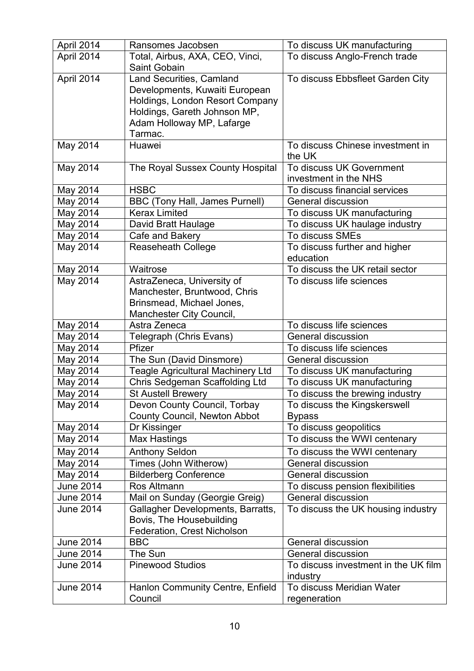| April 2014                           | Ransomes Jacobsen                                     | To discuss UK manufacturing                                       |
|--------------------------------------|-------------------------------------------------------|-------------------------------------------------------------------|
| April 2014                           | Total, Airbus, AXA, CEO, Vinci,                       | To discuss Anglo-French trade                                     |
|                                      | Saint Gobain                                          |                                                                   |
| April 2014                           | Land Securities, Camland                              | To discuss Ebbsfleet Garden City                                  |
|                                      | Developments, Kuwaiti European                        |                                                                   |
|                                      | Holdings, London Resort Company                       |                                                                   |
|                                      | Holdings, Gareth Johnson MP,                          |                                                                   |
|                                      | Adam Holloway MP, Lafarge<br>Tarmac.                  |                                                                   |
| May 2014                             | Huawei                                                | To discuss Chinese investment in                                  |
|                                      |                                                       | the UK                                                            |
| May 2014                             | The Royal Sussex County Hospital                      | To discuss UK Government                                          |
|                                      |                                                       | investment in the NHS                                             |
| May 2014                             | <b>HSBC</b>                                           | To discuss financial services                                     |
| May 2014                             | <b>BBC (Tony Hall, James Purnell)</b>                 | General discussion                                                |
| May 2014                             | <b>Kerax Limited</b>                                  | To discuss UK manufacturing                                       |
| May 2014                             | David Bratt Haulage                                   | To discuss UK haulage industry                                    |
| May 2014                             | Cafe and Bakery                                       | <b>To discuss SMEs</b>                                            |
| May 2014                             | <b>Reaseheath College</b>                             | To discuss further and higher                                     |
|                                      |                                                       | education                                                         |
| May 2014                             | Waitrose                                              | To discuss the UK retail sector                                   |
| May 2014                             | AstraZeneca, University of                            | To discuss life sciences                                          |
|                                      | Manchester, Bruntwood, Chris                          |                                                                   |
|                                      | Brinsmead, Michael Jones,<br>Manchester City Council, |                                                                   |
| May 2014                             | Astra Zeneca                                          | To discuss life sciences                                          |
| May 2014                             | Telegraph (Chris Evans)                               | General discussion                                                |
| May 2014                             | Pfizer                                                | To discuss life sciences                                          |
| May 2014                             | The Sun (David Dinsmore)                              | General discussion                                                |
| May 2014                             | <b>Teagle Agricultural Machinery Ltd</b>              | To discuss UK manufacturing                                       |
| May 2014                             | Chris Sedgeman Scaffolding Ltd                        | To discuss UK manufacturing                                       |
| May 2014                             | St Austell Brewery                                    | To discuss the brewing industry                                   |
| May 2014                             | Devon County Council, Torbay                          | To discuss the Kingskerswell                                      |
|                                      | County Council, Newton Abbot                          | <b>Bypass</b>                                                     |
| May 2014                             | Dr Kissinger                                          | To discuss geopolitics                                            |
| May 2014                             | <b>Max Hastings</b>                                   | To discuss the WWI centenary                                      |
| May 2014                             | <b>Anthony Seldon</b>                                 | To discuss the WWI centenary                                      |
| May 2014                             | Times (John Witherow)                                 | <b>General discussion</b>                                         |
| May 2014                             | <b>Bilderberg Conference</b>                          | General discussion                                                |
| <b>June 2014</b>                     | Ros Altmann                                           | To discuss pension flexibilities                                  |
| <b>June 2014</b>                     | Mail on Sunday (Georgie Greig)                        | General discussion                                                |
| <b>June 2014</b>                     | Gallagher Developments, Barratts,                     | To discuss the UK housing industry                                |
|                                      | Bovis, The Housebuilding                              |                                                                   |
|                                      | Federation, Crest Nicholson                           |                                                                   |
| <b>June 2014</b>                     | <b>BBC</b>                                            | General discussion                                                |
| <b>June 2014</b><br><b>June 2014</b> | The Sun<br><b>Pinewood Studios</b>                    | <b>General discussion</b><br>To discuss investment in the UK film |
|                                      |                                                       | industry                                                          |
| <b>June 2014</b>                     | Hanlon Community Centre, Enfield                      | To discuss Meridian Water                                         |
|                                      | Council                                               | regeneration                                                      |
|                                      |                                                       |                                                                   |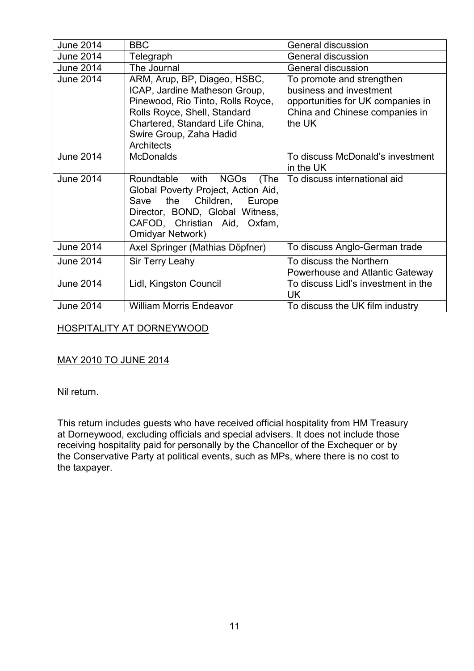| <b>June 2014</b> | <b>BBC</b>                                                                                                                                                                                                            | General discussion                                                                                                                    |
|------------------|-----------------------------------------------------------------------------------------------------------------------------------------------------------------------------------------------------------------------|---------------------------------------------------------------------------------------------------------------------------------------|
| <b>June 2014</b> | Telegraph                                                                                                                                                                                                             | General discussion                                                                                                                    |
| <b>June 2014</b> | The Journal                                                                                                                                                                                                           | General discussion                                                                                                                    |
| <b>June 2014</b> | ARM, Arup, BP, Diageo, HSBC,<br>ICAP, Jardine Matheson Group,<br>Pinewood, Rio Tinto, Rolls Royce,<br>Rolls Royce, Shell, Standard<br>Chartered, Standard Life China,<br>Swire Group, Zaha Hadid<br><b>Architects</b> | To promote and strengthen<br>business and investment<br>opportunities for UK companies in<br>China and Chinese companies in<br>the UK |
| <b>June 2014</b> | <b>McDonalds</b>                                                                                                                                                                                                      | To discuss McDonald's investment<br>in the UK                                                                                         |
| <b>June 2014</b> | <b>NGOs</b><br>Roundtable<br>with<br>(The<br>Global Poverty Project, Action Aid,<br>the<br>Children,<br>Save<br>Europe<br>Director, BOND, Global Witness,<br>CAFOD, Christian Aid, Oxfam,<br><b>Omidyar Network)</b>  | To discuss international aid                                                                                                          |
| <b>June 2014</b> | Axel Springer (Mathias Döpfner)                                                                                                                                                                                       | To discuss Anglo-German trade                                                                                                         |
| <b>June 2014</b> | Sir Terry Leahy                                                                                                                                                                                                       | To discuss the Northern<br>Powerhouse and Atlantic Gateway                                                                            |
| <b>June 2014</b> | Lidl, Kingston Council                                                                                                                                                                                                | To discuss Lidl's investment in the<br><b>UK</b>                                                                                      |
| <b>June 2014</b> | <b>William Morris Endeavor</b>                                                                                                                                                                                        | To discuss the UK film industry                                                                                                       |

## HOSPITALITY AT DORNEYWOOD

## MAY 2010 TO JUNE 2014

Nil return.

This return includes guests who have received official hospitality from HM Treasury at Dorneywood, excluding officials and special advisers. It does not include those receiving hospitality paid for personally by the Chancellor of the Exchequer or by the Conservative Party at political events, such as MPs, where there is no cost to the taxpayer.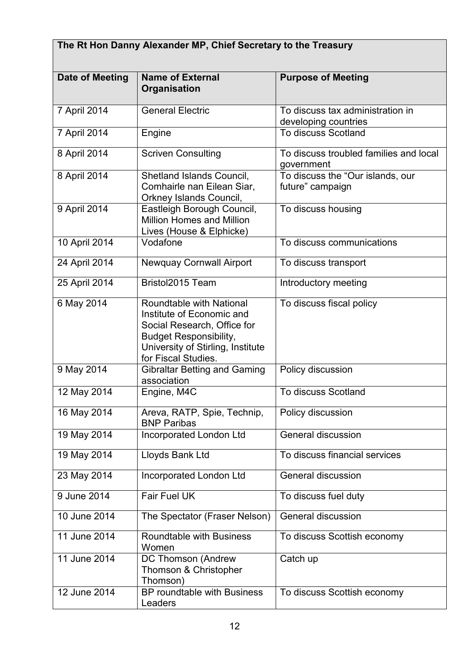| The Rt Hon Danny Alexander MP, Chief Secretary to the Treasury |                                                                                                                                                                                   |                                                          |  |
|----------------------------------------------------------------|-----------------------------------------------------------------------------------------------------------------------------------------------------------------------------------|----------------------------------------------------------|--|
| Date of Meeting                                                | <b>Name of External</b><br>Organisation                                                                                                                                           | <b>Purpose of Meeting</b>                                |  |
| 7 April 2014                                                   | <b>General Electric</b>                                                                                                                                                           | To discuss tax administration in<br>developing countries |  |
| 7 April 2014                                                   | Engine                                                                                                                                                                            | To discuss Scotland                                      |  |
| 8 April 2014                                                   | <b>Scriven Consulting</b>                                                                                                                                                         | To discuss troubled families and local<br>government     |  |
| 8 April 2014                                                   | Shetland Islands Council,<br>Comhairle nan Eilean Siar,<br>Orkney Islands Council,                                                                                                | To discuss the "Our islands, our<br>future" campaign     |  |
| 9 April 2014                                                   | Eastleigh Borough Council,<br><b>Million Homes and Million</b><br>Lives (House & Elphicke)                                                                                        | To discuss housing                                       |  |
| 10 April 2014                                                  | Vodafone                                                                                                                                                                          | To discuss communications                                |  |
| 24 April 2014                                                  | <b>Newquay Cornwall Airport</b>                                                                                                                                                   | To discuss transport                                     |  |
| 25 April 2014                                                  | Bristol2015 Team                                                                                                                                                                  | Introductory meeting                                     |  |
| 6 May 2014                                                     | Roundtable with National<br>Institute of Economic and<br>Social Research, Office for<br><b>Budget Responsibility,</b><br>University of Stirling, Institute<br>for Fiscal Studies. | To discuss fiscal policy                                 |  |
| 9 May 2014                                                     | <b>Gibraltar Betting and Gaming</b><br>association                                                                                                                                | Policy discussion                                        |  |
| 12 May 2014                                                    | Engine, M4C                                                                                                                                                                       | To discuss Scotland                                      |  |
| 16 May 2014                                                    | Areva, RATP, Spie, Technip,<br><b>BNP Paribas</b>                                                                                                                                 | Policy discussion                                        |  |
| 19 May 2014                                                    | <b>Incorporated London Ltd</b>                                                                                                                                                    | General discussion                                       |  |
| 19 May 2014                                                    | Lloyds Bank Ltd                                                                                                                                                                   | To discuss financial services                            |  |
| 23 May 2014                                                    | Incorporated London Ltd                                                                                                                                                           | <b>General discussion</b>                                |  |
| 9 June 2014                                                    | Fair Fuel UK                                                                                                                                                                      | To discuss fuel duty                                     |  |
| 10 June 2014                                                   | The Spectator (Fraser Nelson)                                                                                                                                                     | General discussion                                       |  |
| 11 June 2014                                                   | Roundtable with Business<br>Women                                                                                                                                                 | To discuss Scottish economy                              |  |
| 11 June 2014                                                   | DC Thomson (Andrew<br>Thomson & Christopher<br>Thomson)                                                                                                                           | Catch up                                                 |  |
| 12 June 2014                                                   | BP roundtable with Business<br>Leaders                                                                                                                                            | To discuss Scottish economy                              |  |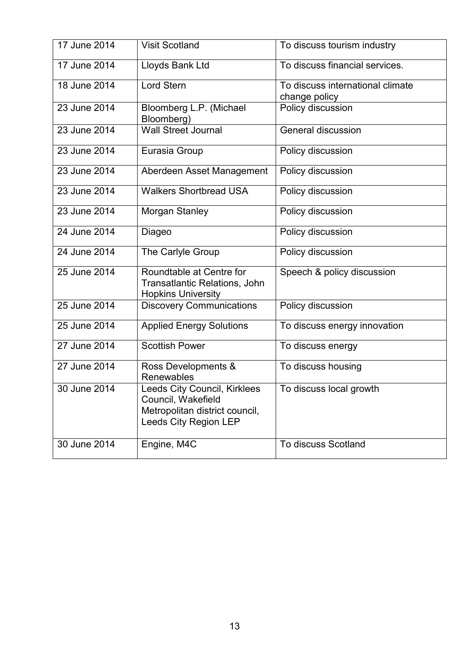| 17 June 2014 | <b>Visit Scotland</b>                                                                                         | To discuss tourism industry                       |
|--------------|---------------------------------------------------------------------------------------------------------------|---------------------------------------------------|
| 17 June 2014 | Lloyds Bank Ltd                                                                                               | To discuss financial services.                    |
| 18 June 2014 | <b>Lord Stern</b>                                                                                             | To discuss international climate<br>change policy |
| 23 June 2014 | Bloomberg L.P. (Michael<br>Bloomberg)                                                                         | Policy discussion                                 |
| 23 June 2014 | <b>Wall Street Journal</b>                                                                                    | <b>General discussion</b>                         |
| 23 June 2014 | Eurasia Group                                                                                                 | Policy discussion                                 |
| 23 June 2014 | Aberdeen Asset Management                                                                                     | Policy discussion                                 |
| 23 June 2014 | <b>Walkers Shortbread USA</b>                                                                                 | Policy discussion                                 |
| 23 June 2014 | Morgan Stanley                                                                                                | Policy discussion                                 |
| 24 June 2014 | Diageo                                                                                                        | Policy discussion                                 |
| 24 June 2014 | The Carlyle Group                                                                                             | Policy discussion                                 |
| 25 June 2014 | Roundtable at Centre for<br><b>Transatlantic Relations, John</b><br><b>Hopkins University</b>                 | Speech & policy discussion                        |
| 25 June 2014 | <b>Discovery Communications</b>                                                                               | Policy discussion                                 |
| 25 June 2014 | <b>Applied Energy Solutions</b>                                                                               | To discuss energy innovation                      |
| 27 June 2014 | <b>Scottish Power</b>                                                                                         | To discuss energy                                 |
| 27 June 2014 | Ross Developments &<br>Renewables                                                                             | To discuss housing                                |
| 30 June 2014 | Leeds City Council, Kirklees<br>Council, Wakefield<br>Metropolitan district council,<br>Leeds City Region LEP | To discuss local growth                           |
| 30 June 2014 | Engine, M4C                                                                                                   | To discuss Scotland                               |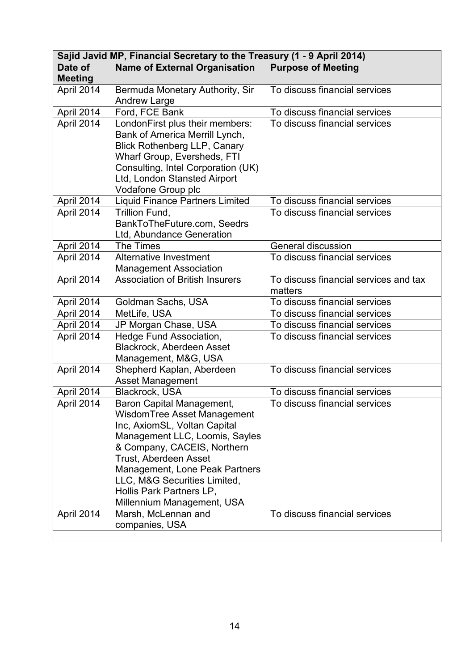| Sajid Javid MP, Financial Secretary to the Treasury (1 - 9 April 2014) |                                                                                                                                                                                                                                                                                                                       |                                                  |  |
|------------------------------------------------------------------------|-----------------------------------------------------------------------------------------------------------------------------------------------------------------------------------------------------------------------------------------------------------------------------------------------------------------------|--------------------------------------------------|--|
| Date of                                                                | <b>Name of External Organisation</b>                                                                                                                                                                                                                                                                                  | <b>Purpose of Meeting</b>                        |  |
| <b>Meeting</b>                                                         |                                                                                                                                                                                                                                                                                                                       |                                                  |  |
| April 2014                                                             | Bermuda Monetary Authority, Sir<br><b>Andrew Large</b>                                                                                                                                                                                                                                                                | To discuss financial services                    |  |
| April 2014                                                             | Ford, FCE Bank                                                                                                                                                                                                                                                                                                        | To discuss financial services                    |  |
| April 2014                                                             | LondonFirst plus their members:<br>Bank of America Merrill Lynch,<br><b>Blick Rothenberg LLP, Canary</b><br>Wharf Group, Eversheds, FTI                                                                                                                                                                               | To discuss financial services                    |  |
|                                                                        | Consulting, Intel Corporation (UK)<br>Ltd, London Stansted Airport<br>Vodafone Group plc                                                                                                                                                                                                                              |                                                  |  |
| April 2014                                                             | <b>Liquid Finance Partners Limited</b>                                                                                                                                                                                                                                                                                | To discuss financial services                    |  |
| April 2014                                                             | Trillion Fund,<br>BankToTheFuture.com, Seedrs<br>Ltd, Abundance Generation                                                                                                                                                                                                                                            | To discuss financial services                    |  |
| April 2014                                                             | The Times                                                                                                                                                                                                                                                                                                             | General discussion                               |  |
| April 2014                                                             | Alternative Investment<br><b>Management Association</b>                                                                                                                                                                                                                                                               | To discuss financial services                    |  |
| April 2014                                                             | <b>Association of British Insurers</b>                                                                                                                                                                                                                                                                                | To discuss financial services and tax<br>matters |  |
| April 2014                                                             | Goldman Sachs, USA                                                                                                                                                                                                                                                                                                    | To discuss financial services                    |  |
| April 2014                                                             | MetLife, USA                                                                                                                                                                                                                                                                                                          | To discuss financial services                    |  |
| April 2014                                                             | JP Morgan Chase, USA                                                                                                                                                                                                                                                                                                  | To discuss financial services                    |  |
| April 2014                                                             | Hedge Fund Association,<br>Blackrock, Aberdeen Asset<br>Management, M&G, USA                                                                                                                                                                                                                                          | To discuss financial services                    |  |
| April 2014                                                             | Shepherd Kaplan, Aberdeen<br>Asset Management                                                                                                                                                                                                                                                                         | To discuss financial services                    |  |
| April 2014                                                             | Blackrock, USA                                                                                                                                                                                                                                                                                                        | To discuss financial services                    |  |
| April 2014                                                             | <b>Baron Capital Management,</b><br>WisdomTree Asset Management<br>Inc, AxiomSL, Voltan Capital<br>Management LLC, Loomis, Sayles<br>& Company, CACEIS, Northern<br>Trust, Aberdeen Asset<br>Management, Lone Peak Partners<br>LLC, M&G Securities Limited,<br>Hollis Park Partners LP,<br>Millennium Management, USA | To discuss financial services                    |  |
| April 2014                                                             | Marsh, McLennan and<br>companies, USA                                                                                                                                                                                                                                                                                 | To discuss financial services                    |  |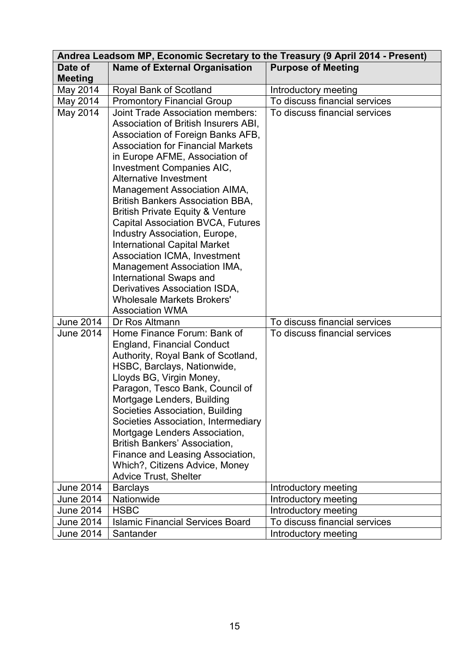|                  | Andrea Leadsom MP, Economic Secretary to the Treasury (9 April 2014 - Present)                                                                                                                                                                                                                                                                                                                                                                                                                                                                                                                                                                                          |                               |  |
|------------------|-------------------------------------------------------------------------------------------------------------------------------------------------------------------------------------------------------------------------------------------------------------------------------------------------------------------------------------------------------------------------------------------------------------------------------------------------------------------------------------------------------------------------------------------------------------------------------------------------------------------------------------------------------------------------|-------------------------------|--|
| Date of          | <b>Name of External Organisation</b>                                                                                                                                                                                                                                                                                                                                                                                                                                                                                                                                                                                                                                    | <b>Purpose of Meeting</b>     |  |
| <b>Meeting</b>   |                                                                                                                                                                                                                                                                                                                                                                                                                                                                                                                                                                                                                                                                         |                               |  |
| May 2014         | Royal Bank of Scotland                                                                                                                                                                                                                                                                                                                                                                                                                                                                                                                                                                                                                                                  | Introductory meeting          |  |
| May 2014         | <b>Promontory Financial Group</b>                                                                                                                                                                                                                                                                                                                                                                                                                                                                                                                                                                                                                                       | To discuss financial services |  |
| May 2014         | <b>Joint Trade Association members:</b><br>Association of British Insurers ABI,<br>Association of Foreign Banks AFB,<br><b>Association for Financial Markets</b><br>in Europe AFME, Association of<br>Investment Companies AIC,<br>Alternative Investment<br>Management Association AIMA,<br><b>British Bankers Association BBA,</b><br><b>British Private Equity &amp; Venture</b><br><b>Capital Association BVCA, Futures</b><br>Industry Association, Europe,<br><b>International Capital Market</b><br>Association ICMA, Investment<br>Management Association IMA,<br>International Swaps and<br>Derivatives Association ISDA,<br><b>Wholesale Markets Brokers'</b> | To discuss financial services |  |
|                  | <b>Association WMA</b>                                                                                                                                                                                                                                                                                                                                                                                                                                                                                                                                                                                                                                                  |                               |  |
| June 2014        | Dr Ros Altmann                                                                                                                                                                                                                                                                                                                                                                                                                                                                                                                                                                                                                                                          | To discuss financial services |  |
| June 2014        | Home Finance Forum: Bank of<br><b>England, Financial Conduct</b><br>Authority, Royal Bank of Scotland,<br>HSBC, Barclays, Nationwide,<br>Lloyds BG, Virgin Money,<br>Paragon, Tesco Bank, Council of<br>Mortgage Lenders, Building<br>Societies Association, Building<br>Societies Association, Intermediary<br>Mortgage Lenders Association,<br><b>British Bankers' Association,</b><br>Finance and Leasing Association,<br>Which?, Citizens Advice, Money<br><b>Advice Trust, Shelter</b>                                                                                                                                                                             | To discuss financial services |  |
| <b>June 2014</b> | <b>Barclays</b>                                                                                                                                                                                                                                                                                                                                                                                                                                                                                                                                                                                                                                                         | Introductory meeting          |  |
| June 2014        | Nationwide                                                                                                                                                                                                                                                                                                                                                                                                                                                                                                                                                                                                                                                              | Introductory meeting          |  |
| June 2014        | <b>HSBC</b>                                                                                                                                                                                                                                                                                                                                                                                                                                                                                                                                                                                                                                                             | Introductory meeting          |  |
| <b>June 2014</b> | <b>Islamic Financial Services Board</b>                                                                                                                                                                                                                                                                                                                                                                                                                                                                                                                                                                                                                                 | To discuss financial services |  |
| June 2014        | Santander                                                                                                                                                                                                                                                                                                                                                                                                                                                                                                                                                                                                                                                               | Introductory meeting          |  |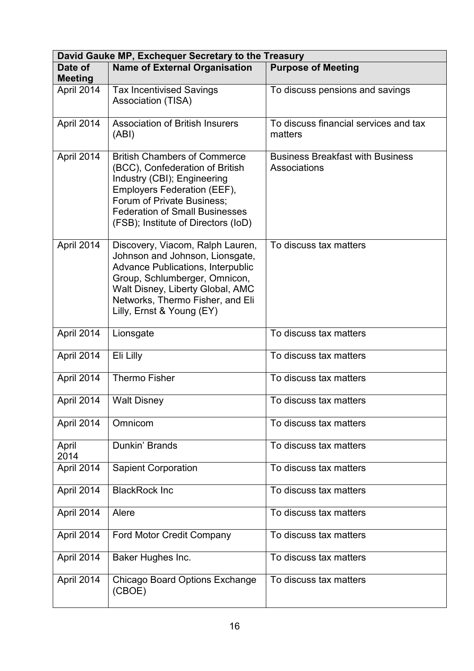|                           | David Gauke MP, Exchequer Secretary to the Treasury                                                                                                                                                                                                   |                                                         |  |  |
|---------------------------|-------------------------------------------------------------------------------------------------------------------------------------------------------------------------------------------------------------------------------------------------------|---------------------------------------------------------|--|--|
| Date of<br><b>Meeting</b> | <b>Name of External Organisation</b>                                                                                                                                                                                                                  | <b>Purpose of Meeting</b>                               |  |  |
| April 2014                | <b>Tax Incentivised Savings</b><br>Association (TISA)                                                                                                                                                                                                 | To discuss pensions and savings                         |  |  |
| April 2014                | <b>Association of British Insurers</b><br>(ABI)                                                                                                                                                                                                       | To discuss financial services and tax<br>matters        |  |  |
| April 2014                | <b>British Chambers of Commerce</b><br>(BCC), Confederation of British<br>Industry (CBI); Engineering<br>Employers Federation (EEF),<br>Forum of Private Business;<br><b>Federation of Small Businesses</b><br>(FSB); Institute of Directors (IoD)    | <b>Business Breakfast with Business</b><br>Associations |  |  |
| April 2014                | Discovery, Viacom, Ralph Lauren,<br>Johnson and Johnson, Lionsgate,<br><b>Advance Publications, Interpublic</b><br>Group, Schlumberger, Omnicon,<br>Walt Disney, Liberty Global, AMC<br>Networks, Thermo Fisher, and Eli<br>Lilly, Ernst & Young (EY) | To discuss tax matters                                  |  |  |
| April 2014                | Lionsgate                                                                                                                                                                                                                                             | To discuss tax matters                                  |  |  |
| April 2014                | Eli Lilly                                                                                                                                                                                                                                             | To discuss tax matters                                  |  |  |
| April 2014                | <b>Thermo Fisher</b>                                                                                                                                                                                                                                  | To discuss tax matters                                  |  |  |
| April 2014                | <b>Walt Disney</b>                                                                                                                                                                                                                                    | To discuss tax matters                                  |  |  |
| April 2014                | Omnicom                                                                                                                                                                                                                                               | To discuss tax matters                                  |  |  |
| April<br>2014             | Dunkin' Brands                                                                                                                                                                                                                                        | To discuss tax matters                                  |  |  |
| April 2014                | <b>Sapient Corporation</b>                                                                                                                                                                                                                            | To discuss tax matters                                  |  |  |
| April 2014                | <b>BlackRock Inc</b>                                                                                                                                                                                                                                  | To discuss tax matters                                  |  |  |
| April 2014                | Alere                                                                                                                                                                                                                                                 | To discuss tax matters                                  |  |  |
| April 2014                | Ford Motor Credit Company                                                                                                                                                                                                                             | To discuss tax matters                                  |  |  |
| April 2014                | Baker Hughes Inc.                                                                                                                                                                                                                                     | To discuss tax matters                                  |  |  |
| April 2014                | <b>Chicago Board Options Exchange</b><br>(CBOE)                                                                                                                                                                                                       | To discuss tax matters                                  |  |  |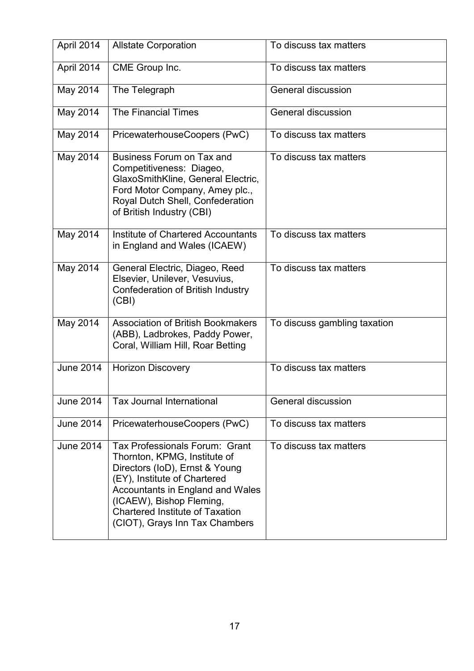| April 2014       | <b>Allstate Corporation</b>                                                                                                                                                                                                                                                  | To discuss tax matters       |
|------------------|------------------------------------------------------------------------------------------------------------------------------------------------------------------------------------------------------------------------------------------------------------------------------|------------------------------|
| April 2014       | CME Group Inc.                                                                                                                                                                                                                                                               | To discuss tax matters       |
| May 2014         | The Telegraph                                                                                                                                                                                                                                                                | <b>General discussion</b>    |
| May 2014         | <b>The Financial Times</b>                                                                                                                                                                                                                                                   | <b>General discussion</b>    |
| May 2014         | PricewaterhouseCoopers (PwC)                                                                                                                                                                                                                                                 | To discuss tax matters       |
| May 2014         | Business Forum on Tax and<br>Competitiveness: Diageo,<br>GlaxoSmithKline, General Electric,<br>Ford Motor Company, Amey plc.,<br>Royal Dutch Shell, Confederation<br>of British Industry (CBI)                                                                               | To discuss tax matters       |
| May 2014         | Institute of Chartered Accountants<br>in England and Wales (ICAEW)                                                                                                                                                                                                           | To discuss tax matters       |
| May 2014         | General Electric, Diageo, Reed<br>Elsevier, Unilever, Vesuvius,<br>Confederation of British Industry<br>(CBI)                                                                                                                                                                | To discuss tax matters       |
| May 2014         | <b>Association of British Bookmakers</b><br>(ABB), Ladbrokes, Paddy Power,<br>Coral, William Hill, Roar Betting                                                                                                                                                              | To discuss gambling taxation |
| <b>June 2014</b> | <b>Horizon Discovery</b>                                                                                                                                                                                                                                                     | To discuss tax matters       |
| <b>June 2014</b> | <b>Tax Journal International</b>                                                                                                                                                                                                                                             | <b>General discussion</b>    |
| <b>June 2014</b> | PricewaterhouseCoopers (PwC)                                                                                                                                                                                                                                                 | To discuss tax matters       |
| <b>June 2014</b> | Tax Professionals Forum: Grant<br>Thornton, KPMG, Institute of<br>Directors (IoD), Ernst & Young<br>(EY), Institute of Chartered<br>Accountants in England and Wales<br>(ICAEW), Bishop Fleming,<br><b>Chartered Institute of Taxation</b><br>(CIOT), Grays Inn Tax Chambers | To discuss tax matters       |